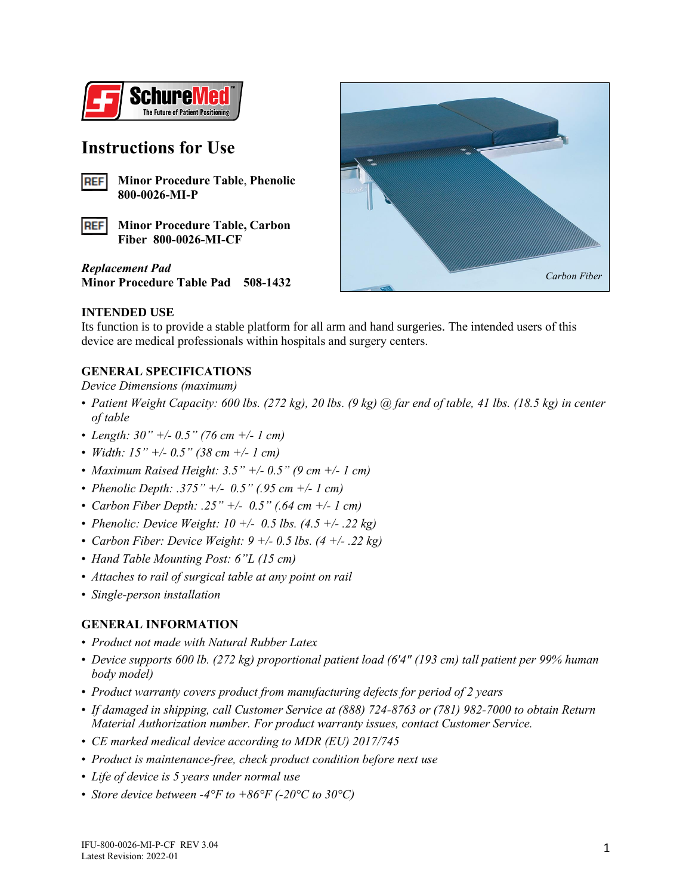

## **Instructions for Use**



**REF Minor Procedure Table, Carbon Fiber 800-0026-MI-CF**

*Replacement Pad* **Minor Procedure Table Pad 508-1432**



#### **INTENDED USE**

Its function is to provide a stable platform for all arm and hand surgeries. The intended users of this device are medical professionals within hospitals and surgery centers.

#### **GENERAL SPECIFICATIONS**

*Device Dimensions (maximum)*

- *Patient Weight Capacity: 600 lbs. (272 kg), 20 lbs. (9 kg) @ far end of table, 41 lbs. (18.5 kg) in center of table*
- *Length: 30" +/- 0.5" (76 cm +/- 1 cm)*
- *Width: 15" +/- 0.5" (38 cm +/- 1 cm)*
- *Maximum Raised Height: 3.5" +/- 0.5" (9 cm +/- 1 cm)*
- *Phenolic Depth: .375" +/- 0.5" (.95 cm +/- 1 cm)*
- *Carbon Fiber Depth: .25" +/- 0.5" (.64 cm +/- 1 cm)*
- *Phenolic: Device Weight: 10 +/- 0.5 lbs. (4.5 +/- .22 kg)*
- *Carbon Fiber: Device Weight: 9 +/- 0.5 lbs. (4 +/- .22 kg)*
- *Hand Table Mounting Post: 6"L (15 cm)*
- *Attaches to rail of surgical table at any point on rail*
- *Single-person installation*

### **GENERAL INFORMATION**

- *Product not made with Natural Rubber Latex*
- *Device supports 600 lb. (272 kg) proportional patient load (6'4" (193 cm) tall patient per 99% human body model)*
- *Product warranty covers product from manufacturing defects for period of 2 years*
- *If damaged in shipping, call Customer Service at (888) 724-8763 or (781) 982-7000 to obtain Return Material Authorization number. For product warranty issues, contact Customer Service.*
- *CE marked medical device according to MDR (EU) 2017/745*
- *Product is maintenance-free, check product condition before next use*
- *Life of device is 5 years under normal use*
- *Store device between -4°F to +86°F (-20°C to 30°C)*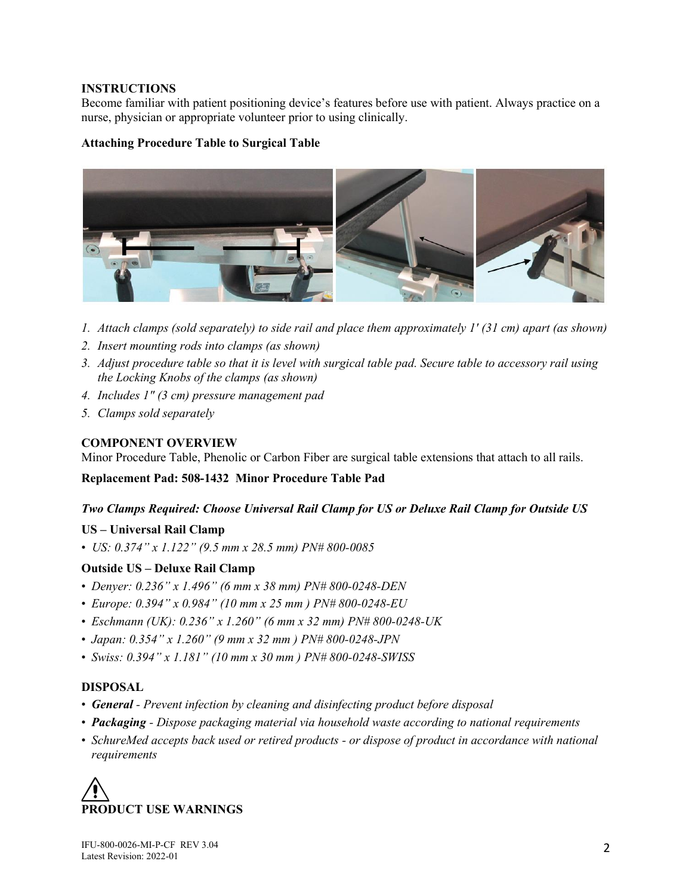#### **INSTRUCTIONS**

Become familiar with patient positioning device's features before use with patient. Always practice on a nurse, physician or appropriate volunteer prior to using clinically.

#### **Attaching Procedure Table to Surgical Table**



- *1. Attach clamps (sold separately) to side rail and place them approximately 1' (31 cm) apart (as shown)*
- *2. Insert mounting rods into clamps (as shown)*
- *3. Adjust procedure table so that it is level with surgical table pad. Secure table to accessory rail using the Locking Knobs of the clamps (as shown)*
- *4. Includes 1" (3 cm) pressure management pad*
- *5. Clamps sold separately*

#### **COMPONENT OVERVIEW**

Minor Procedure Table, Phenolic or Carbon Fiber are surgical table extensions that attach to all rails.

**Replacement Pad: 508-1432 Minor Procedure Table Pad**

#### *Two Clamps Required: Choose Universal Rail Clamp for US or Deluxe Rail Clamp for Outside US*

#### **US – Universal Rail Clamp**

• *US: 0.374" x 1.122" (9.5 mm x 28.5 mm) PN# 800-0085* 

#### **Outside US – Deluxe Rail Clamp**

- *Denyer: 0.236" x 1.496" (6 mm x 38 mm) PN# 800-0248-DEN*
- *Europe: 0.394" x 0.984" (10 mm x 25 mm ) PN# 800-0248-EU*
- *Eschmann (UK): 0.236" x 1.260" (6 mm x 32 mm) PN# 800-0248-UK*
- *Japan: 0.354" x 1.260" (9 mm x 32 mm ) PN# 800-0248-JPN*
- *Swiss: 0.394" x 1.181" (10 mm x 30 mm ) PN# 800-0248-SWISS*

#### **DISPOSAL**

- *General - Prevent infection by cleaning and disinfecting product before disposal*
- *Packaging - Dispose packaging material via household waste according to national requirements*
- *SchureMed accepts back used or retired products - or dispose of product in accordance with national requirements*

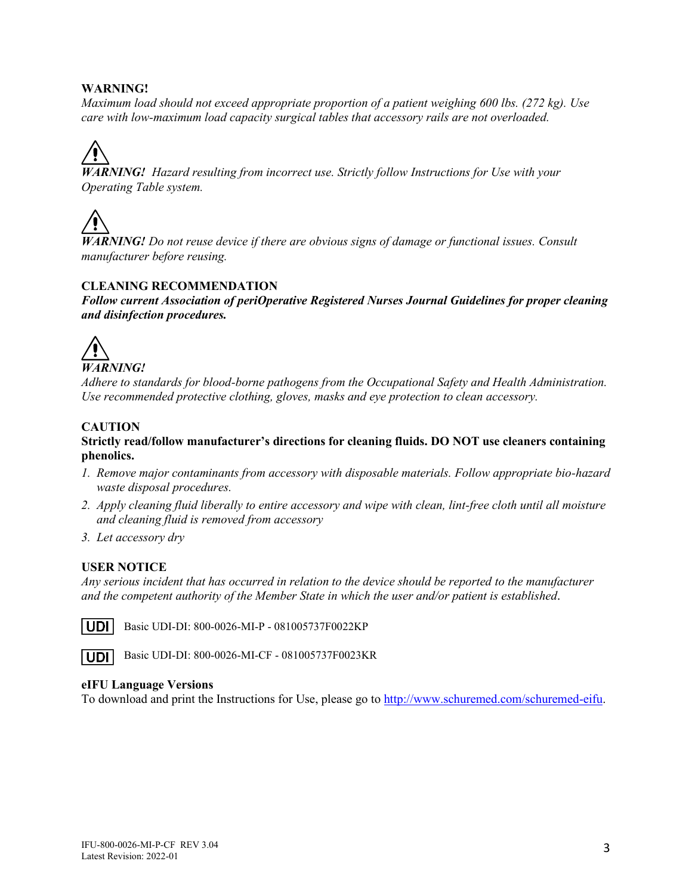#### **WARNING!**

*Maximum load should not exceed appropriate proportion of a patient weighing 600 lbs. (272 kg). Use care with low-maximum load capacity surgical tables that accessory rails are not overloaded.* 

*WARNING! Hazard resulting from incorrect use. Strictly follow Instructions for Use with your Operating Table system.*



*WARNING! Do not reuse device if there are obvious signs of damage or functional issues. Consult manufacturer before reusing.*

#### **CLEANING RECOMMENDATION**

*Follow current Association of periOperative Registered Nurses Journal Guidelines for proper cleaning and disinfection procedures.*



*Adhere to standards for blood-borne pathogens from the Occupational Safety and Health Administration. Use recommended protective clothing, gloves, masks and eye protection to clean accessory.*

#### **CAUTION**

#### **Strictly read/follow manufacturer's directions for cleaning fluids. DO NOT use cleaners containing phenolics.**

- *1. Remove major contaminants from accessory with disposable materials. Follow appropriate bio-hazard waste disposal procedures.*
- *2. Apply cleaning fluid liberally to entire accessory and wipe with clean, lint-free cloth until all moisture and cleaning fluid is removed from accessory*
- *3. Let accessory dry*

#### **USER NOTICE**

*Any serious incident that has occurred in relation to the device should be reported to the manufacturer and the competent authority of the Member State in which the user and/or patient is established.*



**UDI** Basic UDI-DI: 800-0026-MI-P - 081005737F0022KP



Basic UDI-DI: 800-0026-MI-CF - 081005737F0023KR

#### **eIFU Language Versions**

To download and print the Instructions for Use, please go to [http://www.schuremed.com/schuremed-eifu.](http://www.schuremed.com/schuremed-eifu)